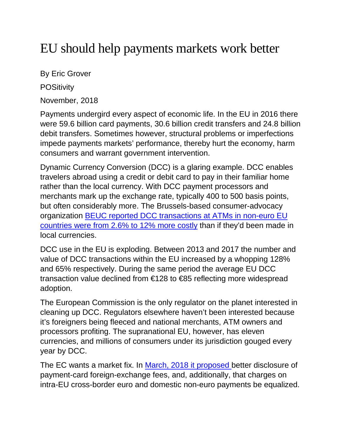## EU should help payments markets work better

By Eric Grover

**POSitivity** 

November, 2018

Payments undergird every aspect of economic life. In the EU in 2016 there were 59.6 billion card payments, 30.6 billion credit transfers and 24.8 billion debit transfers. Sometimes however, structural problems or imperfections impede payments markets' performance, thereby hurt the economy, harm consumers and warrant government intervention.

Dynamic Currency Conversion (DCC) is a glaring example. DCC enables travelers abroad using a credit or debit card to pay in their familiar home rather than the local currency. With DCC payment processors and merchants mark up the exchange rate, typically 400 to 500 basis points, but often considerably more. The Brussels-based consumer-advocacy organization [BEUC reported DCC transactions at ATMs in non-euro EU](http://www.beuc.eu/publications/beuc-x-2017-118_dynamic_currency_conversion_position_paper.pdf)  [countries were from 2.6% to 12% more costly](http://www.beuc.eu/publications/beuc-x-2017-118_dynamic_currency_conversion_position_paper.pdf) than if they'd been made in local currencies.

DCC use in the EU is exploding. Between 2013 and 2017 the number and value of DCC transactions within the EU increased by a whopping 128% and 65% respectively. During the same period the average EU DCC transaction value declined from €128 to €85 reflecting more widespread adoption.

The European Commission is the only regulator on the planet interested in cleaning up DCC. Regulators elsewhere haven't been interested because it's foreigners being fleeced and national merchants, ATM owners and processors profiting. The supranational EU, however, has eleven currencies, and millions of consumers under its jurisdiction gouged every year by DCC.

The EC wants a market fix. In [March, 2018 it](https://eur-lex.europa.eu/legal-content/EN/TXT/?uri=COM%3A2018%3A163%3AFIN) proposed better disclosure of payment-card foreign-exchange fees, and, additionally, that charges on intra-EU cross-border euro and domestic non-euro payments be equalized.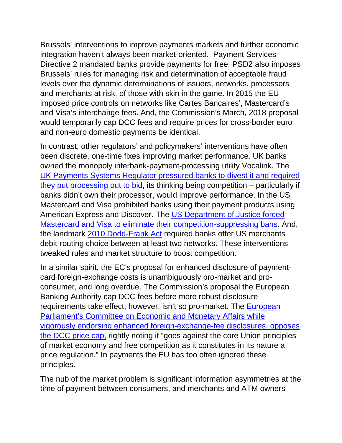Brussels' interventions to improve payments markets and further economic integration haven't always been market-oriented. Payment Services Directive 2 mandated banks provide payments for free. PSD2 also imposes Brussels' rules for managing risk and determination of acceptable fraud levels over the dynamic determinations of issuers, networks, processors and merchants at risk, of those with skin in the game. In 2015 the EU imposed price controls on networks like Cartes Bancaires', Mastercard's and Visa's interchange fees. And, the Commission's March, 2018 proposal would temporarily cap DCC fees and require prices for cross-border euro and non-euro domestic payments be identical.

In contrast, other regulators' and policymakers' interventions have often been discrete, one-time fixes improving market performance. UK banks owned the monopoly interbank-payment-processing utility Vocalink. The [UK Payments Systems Regulator pressured banks to divest it](https://www.psr.org.uk/psr-publications/market-reviews/MR1523-final-report-infrastructure-provision) and required they [put processing out to bid,](https://www.psr.org.uk/psr-publications/market-reviews/MR1523-final-report-infrastructure-provision) its thinking being competition – particularly if banks didn't own their processor, would improve performance. In the US Mastercard and Visa prohibited banks using their payment products using American Express and Discover. The [US Department of Justice](https://www.justice.gov/atr/case-document/decision-0) forced [Mastercard and Visa to eliminate their competition-suppressing bans.](https://www.justice.gov/atr/case-document/decision-0) And, the landmark [2010 Dodd-Frank Act](https://www.govtrack.us/congress/bills/111/hr4173/text) required banks offer US merchants debit-routing choice between at least two networks. These interventions tweaked rules and market structure to boost competition.

In a similar spirit, the EC's proposal for enhanced disclosure of paymentcard foreign-exchange costs is unambiguously pro-market and proconsumer, and long overdue. The Commission's proposal the European Banking Authority cap DCC fees before more robust disclosure requirements take effect, however, isn't so pro-market. The **European** [Parliament's Committee on Economic and Monetary Affairs](http://www.europarl.europa.eu/sides/getDoc.do?type=COMPARL&reference=PE-626.669&format=PDF&language=EN&secondRef=01) while [vigorously endorsing enhanced foreign-exchange-fee disclosures, opposes](http://www.europarl.europa.eu/sides/getDoc.do?type=COMPARL&reference=PE-626.669&format=PDF&language=EN&secondRef=01)  [the DCC price cap,](http://www.europarl.europa.eu/sides/getDoc.do?type=COMPARL&reference=PE-626.669&format=PDF&language=EN&secondRef=01) rightly noting it "goes against the core Union principles of market economy and free competition as it constitutes in its nature a price regulation." In payments the EU has too often ignored these principles.

The nub of the market problem is significant information asymmetries at the time of payment between consumers, and merchants and ATM owners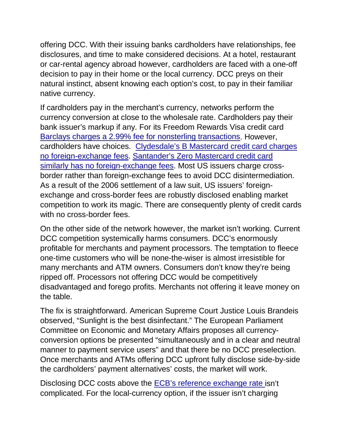offering DCC. With their issuing banks cardholders have relationships, fee disclosures, and time to make considered decisions. At a hotel, restaurant or car-rental agency abroad however, cardholders are faced with a one-off decision to pay in their home or the local currency. DCC preys on their natural instinct, absent knowing each option's cost, to pay in their familiar native currency.

If cardholders pay in the merchant's currency, networks perform the currency conversion at close to the wholesale rate. Cardholders pay their bank issuer's markup if any. For its Freedom Rewards Visa credit card [Barclays charges a 2.99% fee for nonsterling transactions.](https://www.barclaycard.co.uk/personal/barclays-freedom-rewards-summary) However, cardholders have choices. [Clydesdale's B Mastercard credit card charges](https://secure.cbonline.co.uk/personal/credit-cards/)  [no foreign-exchange fees.](https://secure.cbonline.co.uk/personal/credit-cards/) [Santander's Zero Mastercard credit card](https://www.santander.co.uk/info/credit-cards/zero-credit-card)  [similarly has no foreign-exchange fees.](https://www.santander.co.uk/info/credit-cards/zero-credit-card) Most US issuers charge crossborder rather than foreign-exchange fees to avoid DCC disintermediation. As a result of the 2006 settlement of a law suit, US issuers' foreignexchange and cross-border fees are robustly disclosed enabling market competition to work its magic. There are consequently plenty of credit cards with no cross-border fees.

On the other side of the network however, the market isn't working. Current DCC competition systemically harms consumers. DCC's enormously profitable for merchants and payment processors. The temptation to fleece one-time customers who will be none-the-wiser is almost irresistible for many merchants and ATM owners. Consumers don't know they're being ripped off. Processors not offering DCC would be competitively disadvantaged and forego profits. Merchants not offering it leave money on the table.

The fix is straightforward. American Supreme Court Justice Louis Brandeis observed, "Sunlight is the best disinfectant." The European Parliament Committee on Economic and Monetary Affairs proposes all currencyconversion options be presented "simultaneously and in a clear and neutral manner to payment service users" and that there be no DCC preselection. Once merchants and ATMs offering DCC upfront fully disclose side-by-side the cardholders' payment alternatives' costs, the market will work.

Disclosing DCC costs above the [ECB's reference exchange rate i](https://www.ecb.europa.eu/stats/policy_and_exchange_rates/euro_reference_exchange_rates/html/index.en.html)sn't complicated. For the local-currency option, if the issuer isn't charging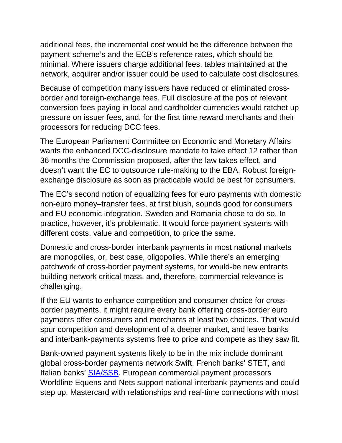additional fees, the incremental cost would be the difference between the payment scheme's and the ECB's reference rates, which should be minimal. Where issuers charge additional fees, tables maintained at the network, acquirer and/or issuer could be used to calculate cost disclosures.

Because of competition many issuers have reduced or eliminated crossborder and foreign-exchange fees. Full disclosure at the pos of relevant conversion fees paying in local and cardholder currencies would ratchet up pressure on issuer fees, and, for the first time reward merchants and their processors for reducing DCC fees.

The European Parliament Committee on Economic and Monetary Affairs wants the enhanced DCC-disclosure mandate to take effect 12 rather than 36 months the Commission proposed, after the law takes effect, and doesn't want the EC to outsource rule-making to the EBA. Robust foreignexchange disclosure as soon as practicable would be best for consumers.

The EC's second notion of equalizing fees for euro payments with domestic non-euro money–transfer fees, at first blush, sounds good for consumers and EU economic integration. Sweden and Romania chose to do so. In practice, however, it's problematic. It would force payment systems with different costs, value and competition, to price the same.

Domestic and cross-border interbank payments in most national markets are monopolies, or, best case, oligopolies. While there's an emerging patchwork of cross-border payment systems, for would-be new entrants building network critical mass, and, therefore, commercial relevance is challenging.

If the EU wants to enhance competition and consumer choice for crossborder payments, it might require every bank offering cross-border euro payments offer consumers and merchants at least two choices. That would spur competition and development of a deeper market, and leave banks and interbank-payments systems free to price and compete as they saw fit.

Bank-owned payment systems likely to be in the mix include dominant global cross-border payments network Swift, French banks' STET, and Italian banks' [SIA/SSB.](http://shares.telegraph.co.uk/news/article.php?id=1891654&archive=1&epic=ISP) European commercial payment processors Worldline Equens and Nets support national interbank payments and could step up. Mastercard with relationships and real-time connections with most